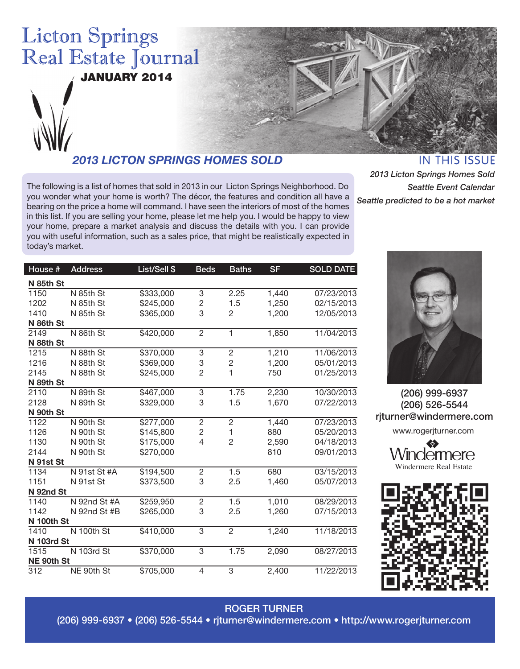

The following is a list of homes that sold in 2013 in our Licton Springs Neighborhood. Do

you wonder what your home is worth? The décor, the features and condition all have a bearing on the price a home will command. I have seen the interiors of most of the homes in this list. If you are selling your home, please let me help you. I would be happy to view your home, prepare a market analysis and discuss the details with you. I can provide you with useful information, such as a sales price, that might be realistically expected in today's market.

**IN THIS ISSUE** 

*2013 Licton Springs Homes Sold Seattle Event Calendar Seattle predicted to be a hot market*

| House #    | <b>Address</b> | List/Sell \$ | <b>Beds</b>    | <b>Baths</b>   | <b>SF</b> | <b>SOLD DATE</b> |
|------------|----------------|--------------|----------------|----------------|-----------|------------------|
| N 85th St  |                |              |                |                |           |                  |
| 1150       | N 85th St      | \$333,000    | 3              | 2.25           | 1,440     | 07/23/2013       |
| 1202       | N 85th St      | \$245,000    | $\overline{c}$ | 1.5            | 1,250     | 02/15/2013       |
| 1410       | N 85th St      | \$365,000    | 3              | $\overline{c}$ | 1,200     | 12/05/2013       |
| N 86th St  |                |              |                |                |           |                  |
| 2149       | N 86th St      | \$420,000    | $\overline{c}$ | 1              | 1,850     | 11/04/2013       |
| N 88th St  |                |              |                |                |           |                  |
| 1215       | N 88th St      | \$370,000    | 3              | $\overline{2}$ | 1,210     | 11/06/2013       |
| 1216       | N 88th St      | \$369,000    | 3              | $\overline{c}$ | 1,200     | 05/01/2013       |
| 2145       | N 88th St      | \$245,000    | $\overline{2}$ | 1              | 750       | 01/25/2013       |
| N 89th St  |                |              |                |                |           |                  |
| 2110       | N 89th St      | \$467,000    | 3              | 1.75           | 2,230     | 10/30/2013       |
| 2128       | N 89th St      | \$329,000    | 3              | 1.5            | 1,670     | 07/22/2013       |
| N 90th St  |                |              |                |                |           |                  |
| 1122       | N 90th St      | \$277,000    | $\overline{c}$ | $\overline{c}$ | 1,440     | 07/23/2013       |
| 1126       | N 90th St      | \$145,800    | $\overline{c}$ | 1              | 880       | 05/20/2013       |
| 1130       | N 90th St      | \$175,000    | 4              | $\overline{c}$ | 2,590     | 04/18/2013       |
| 2144       | N 90th St      | \$270,000    |                |                | 810       | 09/01/2013       |
| N 91st St  |                |              |                |                |           |                  |
| 1134       | N 91st St #A   | \$194,500    | $\sqrt{2}$     | 1.5            | 680       | 03/15/2013       |
| 1151       | N 91st St      | \$373,500    | 3              | 2.5            | 1,460     | 05/07/2013       |
| N 92nd St  |                |              |                |                |           |                  |
| 1140       | N 92nd St #A   | \$259,950    | $\overline{c}$ | 1.5            | 1,010     | 08/29/2013       |
| 1142       | N 92nd St #B   | \$265,000    | 3              | 2.5            | 1,260     | 07/15/2013       |
| N 100th St |                |              |                |                |           |                  |
| 1410       | N 100th St     | \$410,000    | 3              | $\overline{2}$ | 1,240     | 11/18/2013       |
| N 103rd St |                |              |                |                |           |                  |
| 1515       | N 103rd St     | \$370,000    | 3              | 1.75           | 2,090     | 08/27/2013       |
| NE 90th St |                |              |                |                |           |                  |
| 312        | NE 90th St     | \$705,000    | 4              | 3              | 2,400     | 11/22/2013       |



(206) 999-6937 (206) 526-5544 rjturner@windermere.com www.rogerjturner.com

> vindermere Windermere Real Estate



#### ROGER TURNER

(206) 999-6937 • (206) 526-5544 • rjturner@windermere.com • http://www.rogerjturner.com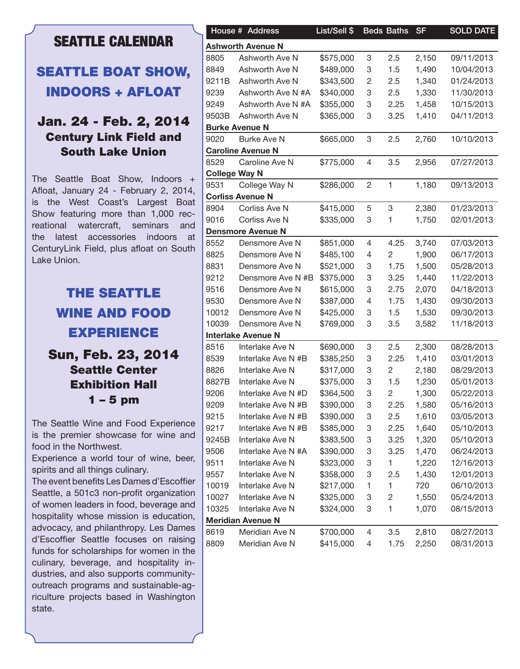## **SEATTLE CALENDAR**

## SEATTLE BOAT SHOW, INDOORS + AFLOAT

#### Jan. 24 - Feb. 2, 2014 Century Link Field and South Lake Union

The Seattle Boat Show, Indoors + Afloat, January 24 - February 2, 2014, is the West Coast's Largest Boat Show featuring more than 1,000 recreational watercraft, seminars and the latest accessories indoors at CenturyLink Field, plus afloat on South Lake Union.

# THE SEATTLE WINE AND FOOD EXPERIENCE

#### Sun, Feb. 23, 2014 Seattle Center Exhibition Hall 1 – 5 pm

The Seattle Wine and Food Experience is the premier showcase for wine and food in the Northwest.

Experience a world tour of wine, beer, spirits and all things culinary.

The event benefits Les Dames d'Escoffier Seattle, a 501c3 non-profit organization of women leaders in food, beverage and hospitality whose mission is education, advocacy, and philanthropy. Les Dames d'Escoffier Seattle focuses on raising funds for scholarships for women in the culinary, beverage, and hospitality industries, and also supports communityoutreach programs and sustainable-agriculture projects based in Washington state.

|                      | House # Address                            | List/Sell \$ |                | <b>Beds Baths</b> | <b>SF</b> | <b>SOLD DATE</b> |
|----------------------|--------------------------------------------|--------------|----------------|-------------------|-----------|------------------|
|                      | <b>Ashworth Avenue N</b>                   |              |                |                   |           |                  |
| 8805                 | Ashworth Ave N                             | \$575,000    | 3              | 2.5               | 2,150     | 09/11/2013       |
| 8849                 | Ashworth Ave N                             | \$489,000    | 3              | 1.5               | 1,490     | 10/04/2013       |
| 9211B                | Ashworth Ave N                             | \$343,500    | 2              | 2.5               | 1,340     | 01/24/2013       |
| 9239                 | Ashworth Ave N #A                          | \$340,000    | 3              | 2.5               | 1,330     | 11/30/2013       |
| 9249                 | Ashworth Ave N #A                          | \$355,000    | 3              | 2.25              | 1,458     | 10/15/2013       |
| 9503B                | Ashworth Ave N                             | \$365,000    | 3              | 3.25              | 1,410     | 04/11/2013       |
|                      | <b>Burke Avenue N</b>                      |              |                |                   |           |                  |
| 9020                 | <b>Burke Ave N</b>                         | \$665,000    | $\,3$          | 2.5               | 2,760     | 10/10/2013       |
|                      | <b>Caroline Avenue N</b>                   |              |                |                   |           |                  |
| 8529                 | Caroline Ave N                             | \$775,000    | 4              | 3.5               | 2,956     | 07/27/2013       |
| <b>College Way N</b> |                                            |              |                |                   |           |                  |
| 9531                 | College Way N                              | \$286,000    | $\overline{c}$ | 1                 | 1,180     | 09/13/2013       |
|                      | <b>Corliss Avenue N</b>                    |              |                |                   |           |                  |
| 8904                 | Corliss Ave N                              | \$415,000    | 5              | 3                 | 2,380     | 01/23/2013       |
| 9016                 | Corliss Ave N                              | \$335,000    | 3              | 1                 | 1,750     | 02/01/2013       |
|                      |                                            |              |                |                   |           |                  |
| 8552                 | <b>Densmore Avenue N</b><br>Densmore Ave N | \$851,000    | 4              | 4.25              | 3,740     | 07/03/2013       |
|                      |                                            |              |                |                   |           |                  |
| 8825                 | Densmore Ave N                             | \$485,100    | 4              | $\mathbf{2}$      | 1,900     | 06/17/2013       |
| 8831                 | Densmore Ave N                             | \$521,000    | 3              | 1.75              | 1,500     | 05/28/2013       |
| 9212                 | Densmore Ave N #B                          | \$375,000    | 3              | 3.25              | 1,440     | 11/22/2013       |
| 9516                 | Densmore Ave N                             | \$615,000    | 3              | 2.75              | 2,070     | 04/18/2013       |
| 9530                 | Densmore Ave N                             | \$387,000    | 4              | 1.75              | 1,430     | 09/30/2013       |
| 10012                | Densmore Ave N                             | \$425,000    | 3              | 1.5               | 1,530     | 09/30/2013       |
| 10039                | Densmore Ave N                             | \$769,000    | 3              | 3.5               | 3,582     | 11/18/2013       |
|                      | <b>Interlake Avenue N</b>                  |              |                |                   |           |                  |
| 8516                 | Interlake Ave N                            | \$690,000    | 3              | 2.5               | 2,300     | 08/28/2013       |
| 8539                 | Interlake Ave N#B                          | \$385,250    | 3              | 2.25              | 1,410     | 03/01/2013       |
| 8826                 | Interlake Ave N                            | \$317,000    | 3              | 2                 | 2,180     | 08/29/2013       |
| 8827B                | Interlake Ave N                            | \$375,000    | 3              | 1.5               | 1,230     | 05/01/2013       |
| 9206                 | Interlake Ave N #D                         | \$364,500    | $\sqrt{3}$     | 2                 | 1,300     | 05/22/2013       |
| 9209                 | Interlake Ave N #B                         | \$390,000    | 3              | 2.25              | 1,580     | 05/16/2013       |
| 9215                 | Interlake Ave N #B                         | \$390,000    | 3              | 2.5               | 1,610     | 03/05/2013       |
| 9217                 | Interlake Ave N #B                         | \$385,000    | 3              | 2.25              | 1,640     | 05/10/2013       |
| 9245B                | Interlake Ave N                            | \$383,500    | 3              | 3.25              | 1,320     | 05/10/2013       |
| 9506                 | Interlake Ave N #A                         | \$390,000    | 3              | 3.25              | 1,470     | 06/24/2013       |
| 9511                 | Interlake Ave N                            | \$323,000    | 3              | $\mathbf{1}$      | 1,220     | 12/16/2013       |
| 9557                 | Interlake Ave N                            | \$358,000    | 3              | 2.5               | 1,430     | 12/01/2013       |
| 10019                | Interlake Ave N                            | \$217,000    | 1              | 1.                | 720       | 06/10/2013       |
| 10027                |                                            | \$325,000    |                |                   |           |                  |
|                      | Interlake Ave N                            |              | 3              | 2                 | 1,550     | 05/24/2013       |
| 10325                | Interlake Ave N                            | \$324,000    | 3              | 1                 | 1,070     | 08/15/2013       |
|                      | <b>Meridian Avenue N</b>                   |              |                |                   |           |                  |
| 8619                 | Meridian Ave N                             | \$700,000    | 4              | 3.5               | 2,810     | 08/27/2013       |
| 8809                 | Meridian Ave N                             | \$415,000    | 4              | 1.75              | 2,250     | 08/31/2013       |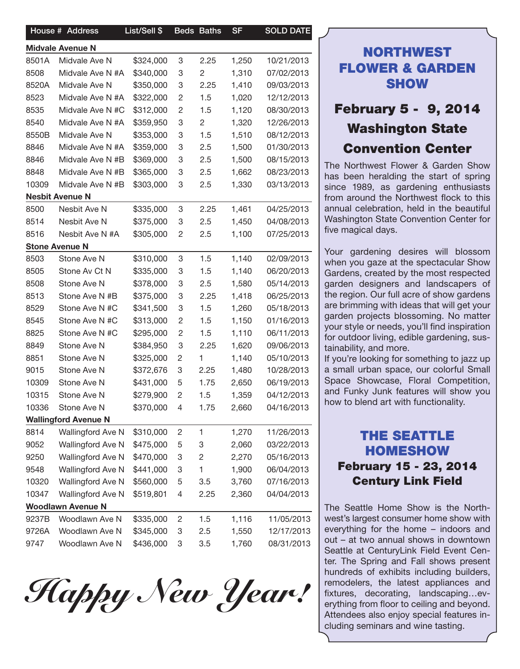|       | House # Address             | List/Sell \$ |                | <b>Beds Baths</b> | <b>SF</b> | <b>SOLD DATE</b> |
|-------|-----------------------------|--------------|----------------|-------------------|-----------|------------------|
|       | <b>Midvale Avenue N</b>     |              |                |                   |           |                  |
| 8501A | Midvale Ave N               | \$324,000    | 3              | 2.25              | 1,250     | 10/21/2013       |
| 8508  | Midvale Ave N #A            | \$340,000    | 3              | 2                 | 1,310     | 07/02/2013       |
| 8520A | Midvale Ave N               | \$350,000    | 3              | 2.25              | 1,410     | 09/03/2013       |
| 8523  | Midvale Ave N #A            | \$322,000    | $\overline{c}$ | 1.5               | 1,020     | 12/12/2013       |
| 8535  | Midvale Ave N #C            | \$312,000    | $\overline{c}$ | 1.5               | 1,120     | 08/30/2013       |
| 8540  | Midvale Ave N #A            | \$359,950    | 3              | 2                 | 1,320     | 12/26/2013       |
| 8550B | Midvale Ave N               | \$353,000    | 3              | 1.5               | 1,510     | 08/12/2013       |
| 8846  | Midvale Ave N #A            | \$359,000    | 3              | 2.5               | 1,500     | 01/30/2013       |
| 8846  | Midvale Ave N #B            | \$369,000    | 3              | 2.5               | 1,500     | 08/15/2013       |
| 8848  | Midvale Ave N #B            | \$365,000    | 3              | 2.5               | 1,662     | 08/23/2013       |
| 10309 | Midvale Ave N #B            | \$303,000    | 3              | 2.5               | 1,330     | 03/13/2013       |
|       | <b>Nesbit Avenue N</b>      |              |                |                   |           |                  |
| 8500  | Nesbit Ave N                | \$335,000    | 3              | 2.25              | 1,461     | 04/25/2013       |
| 8514  | Nesbit Ave N                | \$375,000    | 3              | 2.5               | 1,450     | 04/08/2013       |
| 8516  | Nesbit Ave N #A             | \$305,000    | $\overline{c}$ | 2.5               | 1,100     | 07/25/2013       |
|       | <b>Stone Avenue N</b>       |              |                |                   |           |                  |
| 8503  | Stone Ave N                 | \$310,000    | 3              | 1.5               | 1,140     | 02/09/2013       |
| 8505  | Stone Av Ct N               | \$335,000    | 3              | 1.5               | 1,140     | 06/20/2013       |
| 8508  | Stone Ave N                 | \$378,000    | 3              | 2.5               | 1,580     | 05/14/2013       |
| 8513  | Stone Ave N #B              | \$375,000    | 3              | 2.25              | 1,418     | 06/25/2013       |
| 8529  | Stone Ave N #C              | \$341,500    | 3              | 1.5               | 1,260     | 05/18/2013       |
| 8545  | Stone Ave N #C              | \$313,000    | $\overline{c}$ | 1.5               | 1,150     | 01/16/2013       |
| 8825  | Stone Ave N #C              | \$295,000    | $\overline{c}$ | 1.5               | 1,110     | 06/11/2013       |
| 8849  | Stone Ave N                 | \$384,950    | 3              | 2.25              | 1,620     | 09/06/2013       |
| 8851  | Stone Ave N                 | \$325,000    | $\overline{2}$ | 1                 | 1,140     | 05/10/2013       |
| 9015  | Stone Ave N                 | \$372,676    | 3              | 2.25              | 1,480     | 10/28/2013       |
| 10309 | Stone Ave N                 | \$431,000    | 5              | 1.75              | 2,650     | 06/19/2013       |
| 10315 | Stone Ave N                 | \$279,900    | $\overline{2}$ | 1.5               | 1,359     | 04/12/2013       |
| 10336 | Stone Ave N                 | \$370,000 4  |                | 1.75              | 2,660     | 04/16/2013       |
|       | <b>Wallingford Avenue N</b> |              |                |                   |           |                  |
| 8814  | Wallingford Ave N           | \$310,000    | $\overline{c}$ | $\mathbf{1}$      | 1,270     | 11/26/2013       |
| 9052  | Wallingford Ave N           | \$475,000    | 5              | 3                 | 2,060     | 03/22/2013       |
| 9250  | Wallingford Ave N           | \$470,000    | 3              | 2                 | 2,270     | 05/16/2013       |
| 9548  | Wallingford Ave N           | \$441,000    | 3              | 1                 | 1,900     | 06/04/2013       |
| 10320 | Wallingford Ave N           | \$560,000    | 5              | 3.5               | 3,760     | 07/16/2013       |
| 10347 | Wallingford Ave N           | \$519,801    | 4              | 2.25              | 2,360     | 04/04/2013       |
|       | <b>Woodlawn Avenue N</b>    |              |                |                   |           |                  |
| 9237B | Woodlawn Ave N              | \$335,000    | $\overline{2}$ | 1.5               | 1,116     | 11/05/2013       |
| 9726A | Woodlawn Ave N              | \$345,000    | -3             | 2.5               | 1,550     | 12/17/2013       |
| 9747  | Woodlawn Ave N              | \$436,000    | $\mathbf{3}$   | 3.5               | 1,760     | 08/31/2013       |

*Happy New Year! Happy New Year!*

### NORTHWEST FLOWER & GARDEN **SHOW**

## February 5 - 9, 2014 Washington State Convention Center

The Northwest Flower & Garden Show has been heralding the start of spring since 1989, as gardening enthusiasts from around the Northwest flock to this annual celebration, held in the beautiful Washington State Convention Center for five magical days.

Your gardening desires will blossom when you gaze at the spectacular Show Gardens, created by the most respected garden designers and landscapers of the region. Our full acre of show gardens are brimming with ideas that will get your garden projects blossoming. No matter your style or needs, you'll find inspiration for outdoor living, edible gardening, sustainability, and more.

If you're looking for something to jazz up a small urban space, our colorful Small Space Showcase, Floral Competition, and Funky Junk features will show you how to blend art with functionality.

### THE SEATTLE HOMESHOW February 15 - 23, 2014 Century Link Field

The Seattle Home Show is the Northwest's largest consumer home show with everything for the home – indoors and out – at two annual shows in downtown Seattle at CenturyLink Field Event Center. The Spring and Fall shows present hundreds of exhibits including builders, remodelers, the latest appliances and fixtures, decorating, landscaping…everything from floor to ceiling and beyond. Attendees also enjoy special features including seminars and wine tasting.